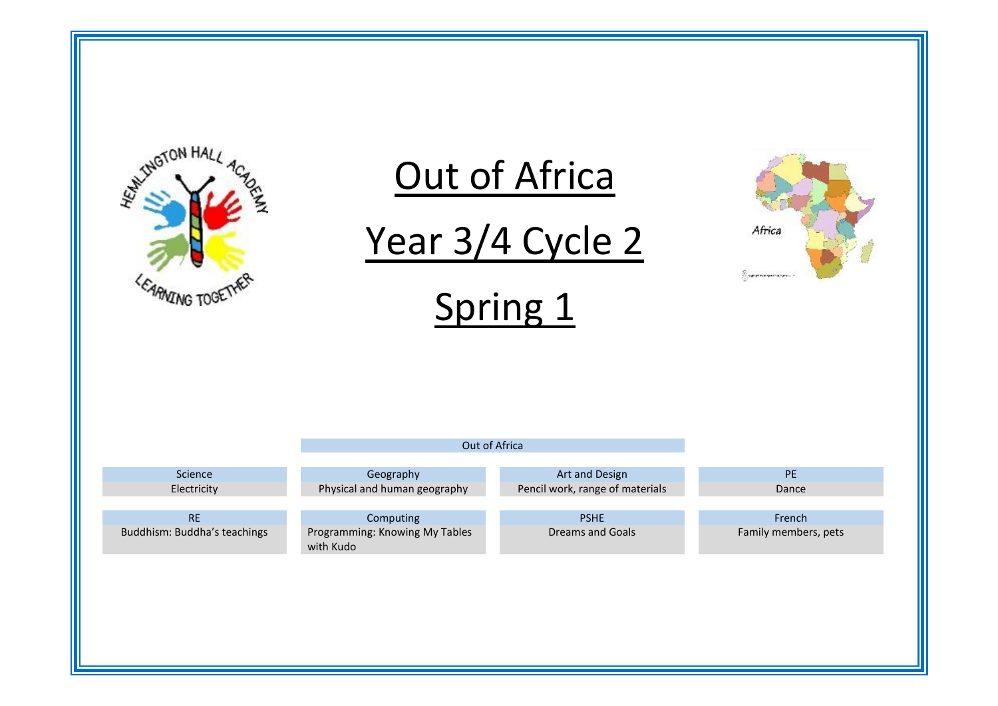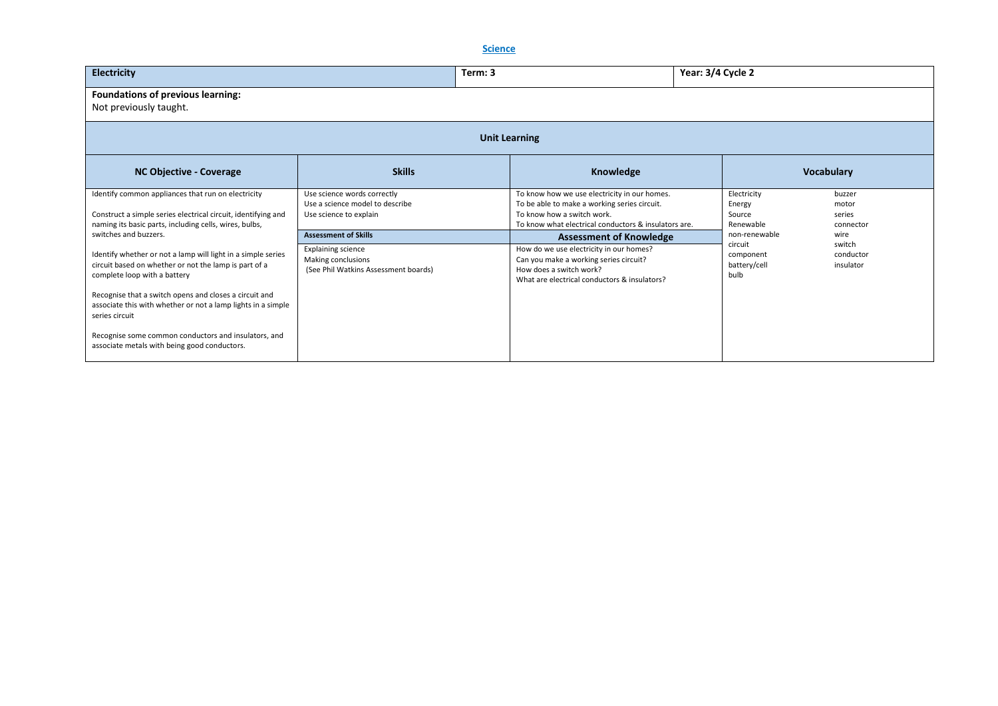# **Science**

| <b>Electricity</b>                                                                                                                                                                                                                                                                                                                                                                                                                 | Term: 3                                                                                                                |                                                                                                                                                                                                | Year: 3/4 Cycle 2                                             |                                          |  |  |  |  |  |
|------------------------------------------------------------------------------------------------------------------------------------------------------------------------------------------------------------------------------------------------------------------------------------------------------------------------------------------------------------------------------------------------------------------------------------|------------------------------------------------------------------------------------------------------------------------|------------------------------------------------------------------------------------------------------------------------------------------------------------------------------------------------|---------------------------------------------------------------|------------------------------------------|--|--|--|--|--|
| Foundations of previous learning:<br>Not previously taught.                                                                                                                                                                                                                                                                                                                                                                        |                                                                                                                        |                                                                                                                                                                                                |                                                               |                                          |  |  |  |  |  |
| <b>Unit Learning</b>                                                                                                                                                                                                                                                                                                                                                                                                               |                                                                                                                        |                                                                                                                                                                                                |                                                               |                                          |  |  |  |  |  |
| <b>NC Objective - Coverage</b>                                                                                                                                                                                                                                                                                                                                                                                                     | <b>Skills</b>                                                                                                          | Knowledge                                                                                                                                                                                      |                                                               | <b>Vocabulary</b>                        |  |  |  |  |  |
| Identify common appliances that run on electricity<br>Construct a simple series electrical circuit, identifying and<br>naming its basic parts, including cells, wires, bulbs,                                                                                                                                                                                                                                                      | Use science words correctly<br>Use a science model to describe<br>Use science to explain                               | To know how we use electricity in our homes.<br>To be able to make a working series circuit.<br>To know how a switch work.<br>To know what electrical conductors & insulators are.             | Electricity<br>Energy<br>Source<br>Renewable                  | buzzer<br>motor<br>series<br>connector   |  |  |  |  |  |
| switches and buzzers.<br>Identify whether or not a lamp will light in a simple series<br>circuit based on whether or not the lamp is part of a<br>complete loop with a battery<br>Recognise that a switch opens and closes a circuit and<br>associate this with whether or not a lamp lights in a simple<br>series circuit<br>Recognise some common conductors and insulators, and<br>associate metals with being good conductors. | <b>Assessment of Skills</b><br><b>Explaining science</b><br>Making conclusions<br>(See Phil Watkins Assessment boards) | <b>Assessment of Knowledge</b><br>How do we use electricity in our homes?<br>Can you make a working series circuit?<br>How does a switch work?<br>What are electrical conductors & insulators? | non-renewable<br>circuit<br>component<br>battery/cell<br>bulb | wire<br>switch<br>conductor<br>insulator |  |  |  |  |  |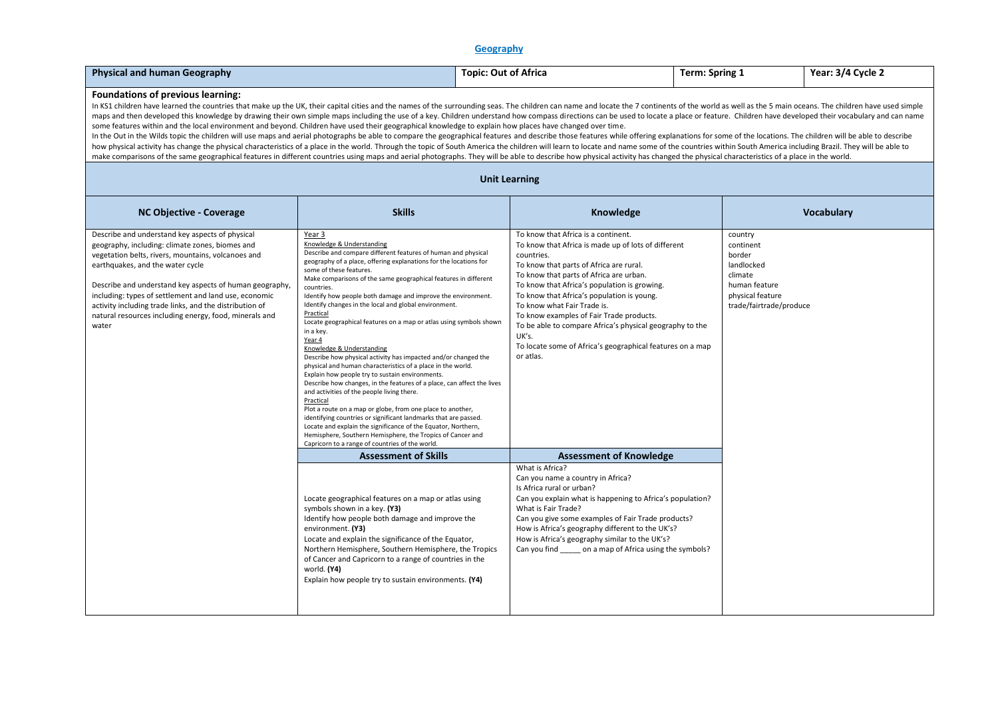### **Geography**

| <b>Physical and human Geography</b> | Topi <sup>7</sup><br>: Out of Africa | Term: Spring 1 | : 3/4 Cvcle 2<br>Year: . |
|-------------------------------------|--------------------------------------|----------------|--------------------------|
|-------------------------------------|--------------------------------------|----------------|--------------------------|

### **Foundations of previous learning:**

In KS1 children have learned the countries that make up the UK, their capital cities and the names of the surrounding seas. The children can name and locate the 7 continents of the world as well as the 5 main oceans. The c maps and then developed this knowledge by drawing their own simple maps including the use of a key. Children understand how compass directions can be used to locate a place or feature. Children have developed their vocabul some features within and the local environment and beyond. Children have used their geographical knowledge to explain how places have changed over time.

In the Out in the Wilds topic the children will use maps and aerial photographs be able to compare the geographical features and describe those features while offering explanations for some of the locations. The children w how physical activity has change the physical characteristics of a place in the world. Through the topic of South America the children will learn to locate and name some of the countries within South America including Braz make comparisons of the same geographical features in different countries using maps and aerial photographs. They will be able to describe how physical activity has changed the physical characteristics of a place in the wo

#### **Unit Learning**

| <b>NC Objective - Coverage</b>                                                                                                                                                                                                                                                                                                                                                                                                                 | <b>Skills</b>                                                                                                                                                                                                                                                                                                                                                                                                                                                                                                                                                                                                                                                                                                                                                                                                                                                                                                                                                                                                                                                                                                                                                                                     | Knowledge                                                                                                                                                                                                                                                                                                                                                                                                                                                                                                              | <b>Vocabulary</b>                                                                                                       |
|------------------------------------------------------------------------------------------------------------------------------------------------------------------------------------------------------------------------------------------------------------------------------------------------------------------------------------------------------------------------------------------------------------------------------------------------|---------------------------------------------------------------------------------------------------------------------------------------------------------------------------------------------------------------------------------------------------------------------------------------------------------------------------------------------------------------------------------------------------------------------------------------------------------------------------------------------------------------------------------------------------------------------------------------------------------------------------------------------------------------------------------------------------------------------------------------------------------------------------------------------------------------------------------------------------------------------------------------------------------------------------------------------------------------------------------------------------------------------------------------------------------------------------------------------------------------------------------------------------------------------------------------------------|------------------------------------------------------------------------------------------------------------------------------------------------------------------------------------------------------------------------------------------------------------------------------------------------------------------------------------------------------------------------------------------------------------------------------------------------------------------------------------------------------------------------|-------------------------------------------------------------------------------------------------------------------------|
| Describe and understand key aspects of physical<br>geography, including: climate zones, biomes and<br>vegetation belts, rivers, mountains, volcanoes and<br>earthquakes, and the water cycle<br>Describe and understand key aspects of human geography,<br>including: types of settlement and land use, economic<br>activity including trade links, and the distribution of<br>natural resources including energy, food, minerals and<br>water | Year 3<br>Knowledge & Understanding<br>Describe and compare different features of human and physical<br>geography of a place, offering explanations for the locations for<br>some of these features.<br>Make comparisons of the same geographical features in different<br>countries.<br>Identify how people both damage and improve the environment.<br>Identify changes in the local and global environment.<br>Practical<br>Locate geographical features on a map or atlas using symbols shown<br>in a key.<br>Year 4<br>Knowledge & Understanding<br>Describe how physical activity has impacted and/or changed the<br>physical and human characteristics of a place in the world.<br>Explain how people try to sustain environments.<br>Describe how changes, in the features of a place, can affect the lives<br>and activities of the people living there.<br>Practical<br>Plot a route on a map or globe, from one place to another,<br>identifying countries or significant landmarks that are passed.<br>Locate and explain the significance of the Equator, Northern,<br>Hemisphere, Southern Hemisphere, the Tropics of Cancer and<br>Capricorn to a range of countries of the world. | To know that Africa is a continent.<br>To know that Africa is made up of lots of different<br>countries.<br>To know that parts of Africa are rural.<br>To know that parts of Africa are urban.<br>To know that Africa's population is growing.<br>To know that Africa's population is young.<br>To know what Fair Trade is.<br>To know examples of Fair Trade products.<br>To be able to compare Africa's physical geography to the<br>UK's.<br>To locate some of Africa's geographical features on a map<br>or atlas. | country<br>continent<br>border<br>landlocked<br>climate<br>human feature<br>physical feature<br>trade/fairtrade/produce |
|                                                                                                                                                                                                                                                                                                                                                                                                                                                | <b>Assessment of Skills</b>                                                                                                                                                                                                                                                                                                                                                                                                                                                                                                                                                                                                                                                                                                                                                                                                                                                                                                                                                                                                                                                                                                                                                                       | <b>Assessment of Knowledge</b>                                                                                                                                                                                                                                                                                                                                                                                                                                                                                         |                                                                                                                         |
|                                                                                                                                                                                                                                                                                                                                                                                                                                                | Locate geographical features on a map or atlas using<br>symbols shown in a key. (Y3)<br>Identify how people both damage and improve the<br>environment. (Y3)<br>Locate and explain the significance of the Equator,<br>Northern Hemisphere, Southern Hemisphere, the Tropics<br>of Cancer and Capricorn to a range of countries in the<br>world. (Y4)<br>Explain how people try to sustain environments. (Y4)                                                                                                                                                                                                                                                                                                                                                                                                                                                                                                                                                                                                                                                                                                                                                                                     | What is Africa?<br>Can you name a country in Africa?<br>Is Africa rural or urban?<br>Can you explain what is happening to Africa's population?<br>What is Fair Trade?<br>Can you give some examples of Fair Trade products?<br>How is Africa's geography different to the UK's?<br>How is Africa's geography similar to the UK's?<br>Can you find on a map of Africa using the symbols?                                                                                                                                |                                                                                                                         |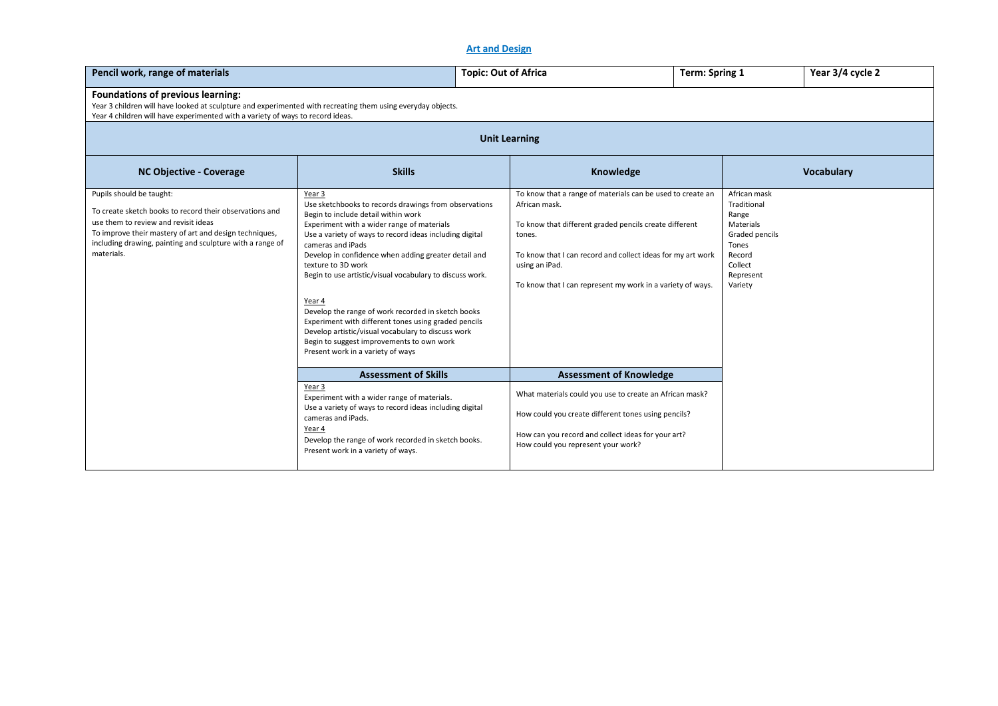# **Art and Design**

| Pencil work, range of materials                                                                                                                                                                                                                                  |                                                                                                                                                                                                                                                                                                                                                                                                                                                                                                                                                                                                                                                | <b>Topic: Out of Africa</b>               | <b>Term: Spring 1</b>                                                                                                                                                                                                                             |                                                                                                                           | Year 3/4 cycle 2  |  |  |  |  |
|------------------------------------------------------------------------------------------------------------------------------------------------------------------------------------------------------------------------------------------------------------------|------------------------------------------------------------------------------------------------------------------------------------------------------------------------------------------------------------------------------------------------------------------------------------------------------------------------------------------------------------------------------------------------------------------------------------------------------------------------------------------------------------------------------------------------------------------------------------------------------------------------------------------------|-------------------------------------------|---------------------------------------------------------------------------------------------------------------------------------------------------------------------------------------------------------------------------------------------------|---------------------------------------------------------------------------------------------------------------------------|-------------------|--|--|--|--|
| <b>Foundations of previous learning:</b><br>Year 3 children will have looked at sculpture and experimented with recreating them using everyday objects.<br>Year 4 children will have experimented with a variety of ways to record ideas.                        |                                                                                                                                                                                                                                                                                                                                                                                                                                                                                                                                                                                                                                                |                                           |                                                                                                                                                                                                                                                   |                                                                                                                           |                   |  |  |  |  |
|                                                                                                                                                                                                                                                                  | <b>Unit Learning</b>                                                                                                                                                                                                                                                                                                                                                                                                                                                                                                                                                                                                                           |                                           |                                                                                                                                                                                                                                                   |                                                                                                                           |                   |  |  |  |  |
| <b>NC Objective - Coverage</b>                                                                                                                                                                                                                                   | <b>Skills</b>                                                                                                                                                                                                                                                                                                                                                                                                                                                                                                                                                                                                                                  |                                           | Knowledge                                                                                                                                                                                                                                         |                                                                                                                           | <b>Vocabulary</b> |  |  |  |  |
| Pupils should be taught:<br>To create sketch books to record their observations and<br>use them to review and revisit ideas<br>To improve their mastery of art and design techniques,<br>including drawing, painting and sculpture with a range of<br>materials. | Year 3<br>Use sketchbooks to records drawings from observations<br>Begin to include detail within work<br>Experiment with a wider range of materials<br>Use a variety of ways to record ideas including digital<br>cameras and iPads<br>Develop in confidence when adding greater detail and<br>texture to 3D work<br>Begin to use artistic/visual vocabulary to discuss work.<br>Year 4<br>Develop the range of work recorded in sketch books<br>Experiment with different tones using graded pencils<br>Develop artistic/visual vocabulary to discuss work<br>Begin to suggest improvements to own work<br>Present work in a variety of ways | African mask.<br>tones.<br>using an iPad. | To know that a range of materials can be used to create an<br>To know that different graded pencils create different<br>To know that I can record and collect ideas for my art work<br>To know that I can represent my work in a variety of ways. | African mask<br>Traditional<br>Range<br>Materials<br>Graded pencils<br>Tones<br>Record<br>Collect<br>Represent<br>Variety |                   |  |  |  |  |
|                                                                                                                                                                                                                                                                  | <b>Assessment of Skills</b>                                                                                                                                                                                                                                                                                                                                                                                                                                                                                                                                                                                                                    |                                           | <b>Assessment of Knowledge</b>                                                                                                                                                                                                                    |                                                                                                                           |                   |  |  |  |  |
|                                                                                                                                                                                                                                                                  | Year 3<br>Experiment with a wider range of materials.<br>Use a variety of ways to record ideas including digital<br>cameras and iPads.<br>Year 4<br>Develop the range of work recorded in sketch books.<br>Present work in a variety of ways.                                                                                                                                                                                                                                                                                                                                                                                                  | How could you represent your work?        | What materials could you use to create an African mask?<br>How could you create different tones using pencils?<br>How can you record and collect ideas for your art?                                                                              |                                                                                                                           |                   |  |  |  |  |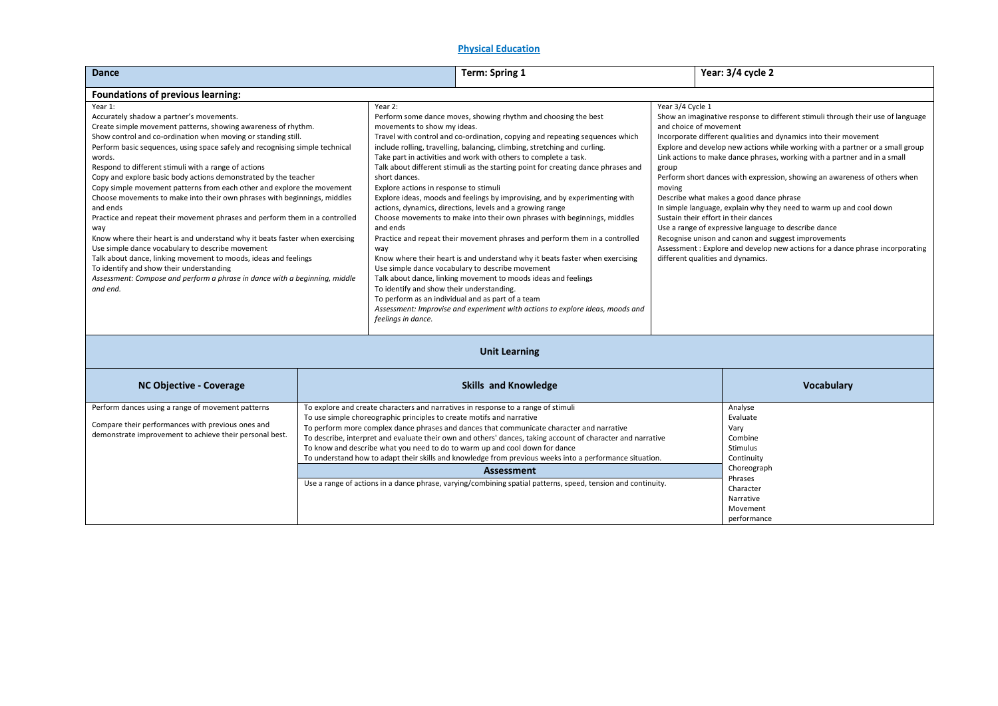## **Physical Education**

| <b>Dance</b>                                                                                                                                                                                                                                                                                                                                                                                                                                                                                                                                                                                                                                                                                                                                                                                                                                                                                                                                                                                                                                                                                                                                                                                               |  |                                                                                                                                                                                                                                                                                                                                                                                                                                                                                                                                                                                                                                                                                                                                                                                                                                                                                                                                                                                                                                                                                                                                               | <b>Term: Spring 1</b>                                                                                                                                                                                                                                                                                                                                                                                                                                                                                                                                                                                                        |                                                                                                                                                                                                                                                                                                                                                                                                                                                                                                                                                                                                                                                                                                                                                        | Year: 3/4 cycle 2                                                                                                                               |
|------------------------------------------------------------------------------------------------------------------------------------------------------------------------------------------------------------------------------------------------------------------------------------------------------------------------------------------------------------------------------------------------------------------------------------------------------------------------------------------------------------------------------------------------------------------------------------------------------------------------------------------------------------------------------------------------------------------------------------------------------------------------------------------------------------------------------------------------------------------------------------------------------------------------------------------------------------------------------------------------------------------------------------------------------------------------------------------------------------------------------------------------------------------------------------------------------------|--|-----------------------------------------------------------------------------------------------------------------------------------------------------------------------------------------------------------------------------------------------------------------------------------------------------------------------------------------------------------------------------------------------------------------------------------------------------------------------------------------------------------------------------------------------------------------------------------------------------------------------------------------------------------------------------------------------------------------------------------------------------------------------------------------------------------------------------------------------------------------------------------------------------------------------------------------------------------------------------------------------------------------------------------------------------------------------------------------------------------------------------------------------|------------------------------------------------------------------------------------------------------------------------------------------------------------------------------------------------------------------------------------------------------------------------------------------------------------------------------------------------------------------------------------------------------------------------------------------------------------------------------------------------------------------------------------------------------------------------------------------------------------------------------|--------------------------------------------------------------------------------------------------------------------------------------------------------------------------------------------------------------------------------------------------------------------------------------------------------------------------------------------------------------------------------------------------------------------------------------------------------------------------------------------------------------------------------------------------------------------------------------------------------------------------------------------------------------------------------------------------------------------------------------------------------|-------------------------------------------------------------------------------------------------------------------------------------------------|
| Foundations of previous learning:                                                                                                                                                                                                                                                                                                                                                                                                                                                                                                                                                                                                                                                                                                                                                                                                                                                                                                                                                                                                                                                                                                                                                                          |  |                                                                                                                                                                                                                                                                                                                                                                                                                                                                                                                                                                                                                                                                                                                                                                                                                                                                                                                                                                                                                                                                                                                                               |                                                                                                                                                                                                                                                                                                                                                                                                                                                                                                                                                                                                                              |                                                                                                                                                                                                                                                                                                                                                                                                                                                                                                                                                                                                                                                                                                                                                        |                                                                                                                                                 |
| Year 1:<br>Year 2:<br>Accurately shadow a partner's movements.<br>Create simple movement patterns, showing awareness of rhythm.<br>movements to show my ideas.<br>Show control and co-ordination when moving or standing still.<br>Perform basic sequences, using space safely and recognising simple technical<br>words.<br>Respond to different stimuli with a range of actions<br>Copy and explore basic body actions demonstrated by the teacher<br>short dances.<br>Copy simple movement patterns from each other and explore the movement<br>Explore actions in response to stimuli<br>Choose movements to make into their own phrases with beginnings, middles<br>and ends<br>Practice and repeat their movement phrases and perform them in a controlled<br>and ends<br>way<br>Know where their heart is and understand why it beats faster when exercising<br>Use simple dance vocabulary to describe movement<br>way<br>Talk about dance, linking movement to moods, ideas and feelings<br>To identify and show their understanding<br>Assessment: Compose and perform a phrase in dance with a beginning, middle<br>and end.<br>To identify and show their understanding.<br>feelings in dance. |  | Year 3/4 Cycle 1<br>Perform some dance moves, showing rhythm and choosing the best<br>and choice of movement<br>Travel with control and co-ordination, copying and repeating sequences which<br>include rolling, travelling, balancing, climbing, stretching and curling.<br>Take part in activities and work with others to complete a task.<br>Talk about different stimuli as the starting point for creating dance phrases and<br>group<br>moving<br>Explore ideas, moods and feelings by improvising, and by experimenting with<br>actions, dynamics, directions, levels and a growing range<br>Choose movements to make into their own phrases with beginnings, middles<br>Practice and repeat their movement phrases and perform them in a controlled<br>Know where their heart is and understand why it beats faster when exercising<br>different qualities and dynamics.<br>Use simple dance vocabulary to describe movement<br>Talk about dance, linking movement to moods ideas and feelings<br>To perform as an individual and as part of a team<br>Assessment: Improvise and experiment with actions to explore ideas, moods and |                                                                                                                                                                                                                                                                                                                                                                                                                                                                                                                                                                                                                              | Show an imaginative response to different stimuli through their use of language<br>Incorporate different qualities and dynamics into their movement<br>Explore and develop new actions while working with a partner or a small group<br>Link actions to make dance phrases, working with a partner and in a small<br>Perform short dances with expression, showing an awareness of others when<br>Describe what makes a good dance phrase<br>In simple language, explain why they need to warm up and cool down<br>Sustain their effort in their dances<br>Use a range of expressive language to describe dance<br>Recognise unison and canon and suggest improvements<br>Assessment: Explore and develop new actions for a dance phrase incorporating |                                                                                                                                                 |
|                                                                                                                                                                                                                                                                                                                                                                                                                                                                                                                                                                                                                                                                                                                                                                                                                                                                                                                                                                                                                                                                                                                                                                                                            |  |                                                                                                                                                                                                                                                                                                                                                                                                                                                                                                                                                                                                                                                                                                                                                                                                                                                                                                                                                                                                                                                                                                                                               | <b>Unit Learning</b>                                                                                                                                                                                                                                                                                                                                                                                                                                                                                                                                                                                                         |                                                                                                                                                                                                                                                                                                                                                                                                                                                                                                                                                                                                                                                                                                                                                        |                                                                                                                                                 |
| <b>NC Objective - Coverage</b>                                                                                                                                                                                                                                                                                                                                                                                                                                                                                                                                                                                                                                                                                                                                                                                                                                                                                                                                                                                                                                                                                                                                                                             |  |                                                                                                                                                                                                                                                                                                                                                                                                                                                                                                                                                                                                                                                                                                                                                                                                                                                                                                                                                                                                                                                                                                                                               | <b>Skills and Knowledge</b>                                                                                                                                                                                                                                                                                                                                                                                                                                                                                                                                                                                                  |                                                                                                                                                                                                                                                                                                                                                                                                                                                                                                                                                                                                                                                                                                                                                        | Vocabulary                                                                                                                                      |
| Perform dances using a range of movement patterns<br>Compare their performances with previous ones and<br>demonstrate improvement to achieve their personal best.                                                                                                                                                                                                                                                                                                                                                                                                                                                                                                                                                                                                                                                                                                                                                                                                                                                                                                                                                                                                                                          |  | To use simple choreographic principles to create motifs and narrative                                                                                                                                                                                                                                                                                                                                                                                                                                                                                                                                                                                                                                                                                                                                                                                                                                                                                                                                                                                                                                                                         | To explore and create characters and narratives in response to a range of stimuli<br>To perform more complex dance phrases and dances that communicate character and narrative<br>To describe, interpret and evaluate their own and others' dances, taking account of character and narrative<br>To know and describe what you need to do to warm up and cool down for dance<br>To understand how to adapt their skills and knowledge from previous weeks into a performance situation.<br><b>Assessment</b><br>Use a range of actions in a dance phrase, varying/combining spatial patterns, speed, tension and continuity. |                                                                                                                                                                                                                                                                                                                                                                                                                                                                                                                                                                                                                                                                                                                                                        | Analyse<br>Evaluate<br>Vary<br>Combine<br>Stimulus<br>Continuity<br>Choreograph<br>Phrases<br>Character<br>Narrative<br>Movement<br>performance |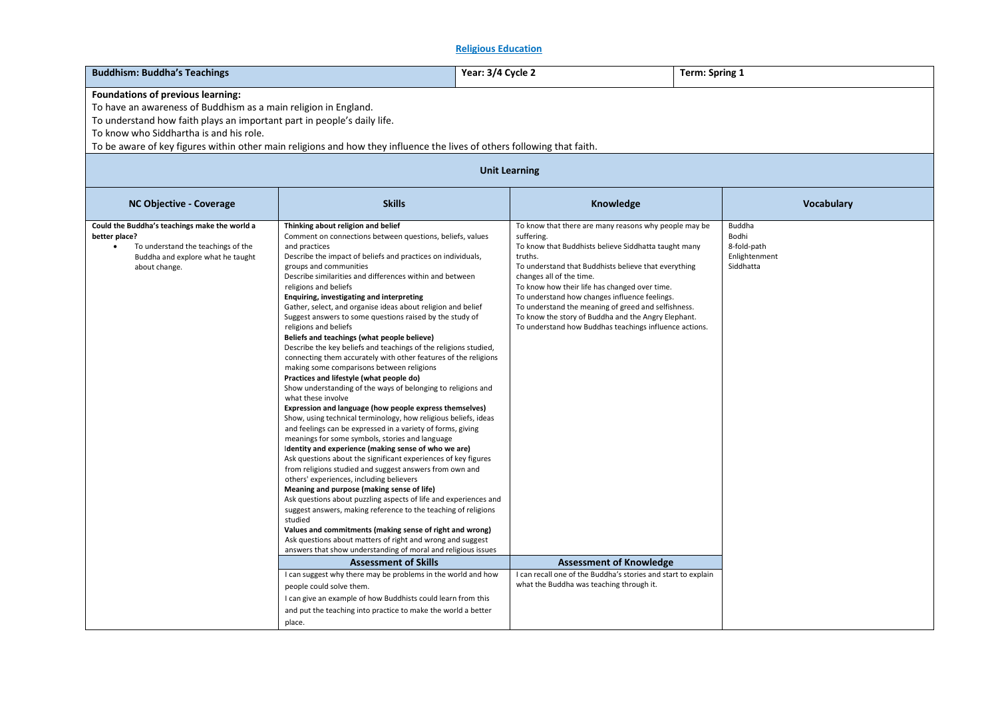# **Religious Education**

| <b>Buddhism: Buddha's Teachings</b>                                                                                                                                                                                                                                                                                                                                           |                                                                                                                                                                                                                                                                                                                                                                                                                                                                                                                                                                                                                                                                                                                                                                                                                                                                                                                                                                                                                                                                                                                                                                                                                                                                                                                                                                                                                                                                                                                                                                                                                                                                                                                                                                                                                                                  | Year: 3/4 Cycle 2                                                                                                                                   | <b>Term: Spring 1</b>                                                                                                                                                                                                                                                                                                                                                                                                                            |                                                              |  |  |  |  |  |
|-------------------------------------------------------------------------------------------------------------------------------------------------------------------------------------------------------------------------------------------------------------------------------------------------------------------------------------------------------------------------------|--------------------------------------------------------------------------------------------------------------------------------------------------------------------------------------------------------------------------------------------------------------------------------------------------------------------------------------------------------------------------------------------------------------------------------------------------------------------------------------------------------------------------------------------------------------------------------------------------------------------------------------------------------------------------------------------------------------------------------------------------------------------------------------------------------------------------------------------------------------------------------------------------------------------------------------------------------------------------------------------------------------------------------------------------------------------------------------------------------------------------------------------------------------------------------------------------------------------------------------------------------------------------------------------------------------------------------------------------------------------------------------------------------------------------------------------------------------------------------------------------------------------------------------------------------------------------------------------------------------------------------------------------------------------------------------------------------------------------------------------------------------------------------------------------------------------------------------------------|-----------------------------------------------------------------------------------------------------------------------------------------------------|--------------------------------------------------------------------------------------------------------------------------------------------------------------------------------------------------------------------------------------------------------------------------------------------------------------------------------------------------------------------------------------------------------------------------------------------------|--------------------------------------------------------------|--|--|--|--|--|
| Foundations of previous learning:<br>To have an awareness of Buddhism as a main religion in England.<br>To understand how faith plays an important part in people's daily life.<br>To know who Siddhartha is and his role.<br>To be aware of key figures within other main religions and how they influence the lives of others following that faith.<br><b>Unit Learning</b> |                                                                                                                                                                                                                                                                                                                                                                                                                                                                                                                                                                                                                                                                                                                                                                                                                                                                                                                                                                                                                                                                                                                                                                                                                                                                                                                                                                                                                                                                                                                                                                                                                                                                                                                                                                                                                                                  |                                                                                                                                                     |                                                                                                                                                                                                                                                                                                                                                                                                                                                  |                                                              |  |  |  |  |  |
| <b>NC Objective - Coverage</b>                                                                                                                                                                                                                                                                                                                                                | <b>Skills</b>                                                                                                                                                                                                                                                                                                                                                                                                                                                                                                                                                                                                                                                                                                                                                                                                                                                                                                                                                                                                                                                                                                                                                                                                                                                                                                                                                                                                                                                                                                                                                                                                                                                                                                                                                                                                                                    |                                                                                                                                                     | Knowledge                                                                                                                                                                                                                                                                                                                                                                                                                                        | Vocabulary                                                   |  |  |  |  |  |
| Could the Buddha's teachings make the world a<br>better place?<br>To understand the teachings of the<br>Buddha and explore what he taught<br>about change.                                                                                                                                                                                                                    | Thinking about religion and belief<br>Comment on connections between questions, beliefs, values<br>and practices<br>Describe the impact of beliefs and practices on individuals,<br>groups and communities<br>Describe similarities and differences within and between<br>religions and beliefs<br>Enquiring, investigating and interpreting<br>Gather, select, and organise ideas about religion and belief<br>Suggest answers to some questions raised by the study of<br>religions and beliefs<br>Beliefs and teachings (what people believe)<br>Describe the key beliefs and teachings of the religions studied,<br>connecting them accurately with other features of the religions<br>making some comparisons between religions<br>Practices and lifestyle (what people do)<br>Show understanding of the ways of belonging to religions and<br>what these involve<br>Expression and language (how people express themselves)<br>Show, using technical terminology, how religious beliefs, ideas<br>and feelings can be expressed in a variety of forms, giving<br>meanings for some symbols, stories and language<br>Identity and experience (making sense of who we are)<br>Ask questions about the significant experiences of key figures<br>from religions studied and suggest answers from own and<br>others' experiences, including believers<br>Meaning and purpose (making sense of life)<br>Ask questions about puzzling aspects of life and experiences and<br>suggest answers, making reference to the teaching of religions<br>studied<br>Values and commitments (making sense of right and wrong)<br>Ask questions about matters of right and wrong and suggest<br>answers that show understanding of moral and religious issues<br><b>Assessment of Skills</b><br>I can suggest why there may be problems in the world and how | suffering.<br>truths.<br>changes all of the time.<br>To know how their life has changed over time.<br>To understand how changes influence feelings. | To know that there are many reasons why people may be<br>To know that Buddhists believe Siddhatta taught many<br>To understand that Buddhists believe that everything<br>To understand the meaning of greed and selfishness.<br>To know the story of Buddha and the Angry Elephant.<br>To understand how Buddhas teachings influence actions.<br><b>Assessment of Knowledge</b><br>I can recall one of the Buddha's stories and start to explain | Buddha<br>Bodhi<br>8-fold-path<br>Enlightenment<br>Siddhatta |  |  |  |  |  |
|                                                                                                                                                                                                                                                                                                                                                                               | people could solve them.<br>I can give an example of how Buddhists could learn from this<br>and put the teaching into practice to make the world a better<br>place.                                                                                                                                                                                                                                                                                                                                                                                                                                                                                                                                                                                                                                                                                                                                                                                                                                                                                                                                                                                                                                                                                                                                                                                                                                                                                                                                                                                                                                                                                                                                                                                                                                                                              | what the Buddha was teaching through it.                                                                                                            |                                                                                                                                                                                                                                                                                                                                                                                                                                                  |                                                              |  |  |  |  |  |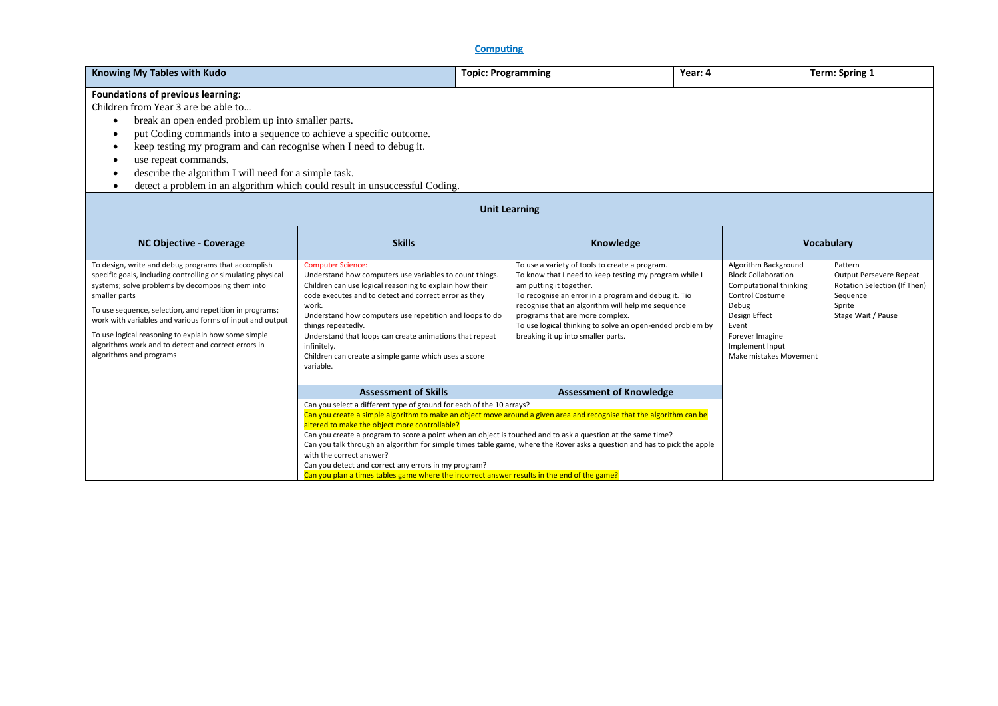**Computing**

| <b>Knowing My Tables with Kudo</b>                                                                                                                                                                                                                                                                                                                                                                                                                                         |                                                                                                                                                                                                                                                                                                                                                                                                                                                                                                                                                                                                                                                                             | <b>Topic: Programming</b> |                                                                                                                                                                                                                                                                                                                                                                                        | Year: 4 |                                                                                                                                                                                                    | Term: Spring 1                                                                                                 |  |
|----------------------------------------------------------------------------------------------------------------------------------------------------------------------------------------------------------------------------------------------------------------------------------------------------------------------------------------------------------------------------------------------------------------------------------------------------------------------------|-----------------------------------------------------------------------------------------------------------------------------------------------------------------------------------------------------------------------------------------------------------------------------------------------------------------------------------------------------------------------------------------------------------------------------------------------------------------------------------------------------------------------------------------------------------------------------------------------------------------------------------------------------------------------------|---------------------------|----------------------------------------------------------------------------------------------------------------------------------------------------------------------------------------------------------------------------------------------------------------------------------------------------------------------------------------------------------------------------------------|---------|----------------------------------------------------------------------------------------------------------------------------------------------------------------------------------------------------|----------------------------------------------------------------------------------------------------------------|--|
| Foundations of previous learning:<br>Children from Year 3 are be able to<br>break an open ended problem up into smaller parts.<br>$\bullet$<br>put Coding commands into a sequence to achieve a specific outcome.<br>keep testing my program and can recognise when I need to debug it.<br>٠<br>use repeat commands.<br>$\epsilon$<br>describe the algorithm I will need for a simple task.<br>detect a problem in an algorithm which could result in unsuccessful Coding. |                                                                                                                                                                                                                                                                                                                                                                                                                                                                                                                                                                                                                                                                             |                           |                                                                                                                                                                                                                                                                                                                                                                                        |         |                                                                                                                                                                                                    |                                                                                                                |  |
| <b>Unit Learning</b>                                                                                                                                                                                                                                                                                                                                                                                                                                                       |                                                                                                                                                                                                                                                                                                                                                                                                                                                                                                                                                                                                                                                                             |                           |                                                                                                                                                                                                                                                                                                                                                                                        |         |                                                                                                                                                                                                    |                                                                                                                |  |
| <b>NC Objective - Coverage</b>                                                                                                                                                                                                                                                                                                                                                                                                                                             | <b>Skills</b>                                                                                                                                                                                                                                                                                                                                                                                                                                                                                                                                                                                                                                                               |                           | Knowledge                                                                                                                                                                                                                                                                                                                                                                              |         |                                                                                                                                                                                                    | <b>Vocabulary</b>                                                                                              |  |
| To design, write and debug programs that accomplish<br>specific goals, including controlling or simulating physical<br>systems; solve problems by decomposing them into<br>smaller parts<br>To use sequence, selection, and repetition in programs;<br>work with variables and various forms of input and output<br>To use logical reasoning to explain how some simple<br>algorithms work and to detect and correct errors in<br>algorithms and programs                  | <b>Computer Science:</b><br>Understand how computers use variables to count things.<br>Children can use logical reasoning to explain how their<br>code executes and to detect and correct error as they<br>work.<br>Understand how computers use repetition and loops to do<br>things repeatedly.<br>Understand that loops can create animations that repeat<br>infinitely.<br>Children can create a simple game which uses a score<br>variable.                                                                                                                                                                                                                            |                           | To use a variety of tools to create a program.<br>To know that I need to keep testing my program while I<br>am putting it together.<br>To recognise an error in a program and debug it. Tio<br>recognise that an algorithm will help me sequence<br>programs that are more complex.<br>To use logical thinking to solve an open-ended problem by<br>breaking it up into smaller parts. |         | Algorithm Background<br><b>Block Collaboration</b><br>Computational thinking<br>Control Costume<br>Debug<br>Design Effect<br>Event<br>Forever Imagine<br>Implement Input<br>Make mistakes Movement | Pattern<br>Output Persevere Repeat<br>Rotation Selection (If Then)<br>Sequence<br>Sprite<br>Stage Wait / Pause |  |
|                                                                                                                                                                                                                                                                                                                                                                                                                                                                            | <b>Assessment of Skills</b>                                                                                                                                                                                                                                                                                                                                                                                                                                                                                                                                                                                                                                                 |                           | <b>Assessment of Knowledge</b>                                                                                                                                                                                                                                                                                                                                                         |         |                                                                                                                                                                                                    |                                                                                                                |  |
|                                                                                                                                                                                                                                                                                                                                                                                                                                                                            | Can you select a different type of ground for each of the 10 arrays?<br>Can you create a simple algorithm to make an object move around a given area and recognise that the algorithm can be<br>altered to make the object more controllable?<br>Can you create a program to score a point when an object is touched and to ask a question at the same time?<br>Can you talk through an algorithm for simple times table game, where the Rover asks a question and has to pick the apple<br>with the correct answer?<br>Can you detect and correct any errors in my program?<br>Can you plan a times tables game where the incorrect answer results in the end of the game? |                           |                                                                                                                                                                                                                                                                                                                                                                                        |         |                                                                                                                                                                                                    |                                                                                                                |  |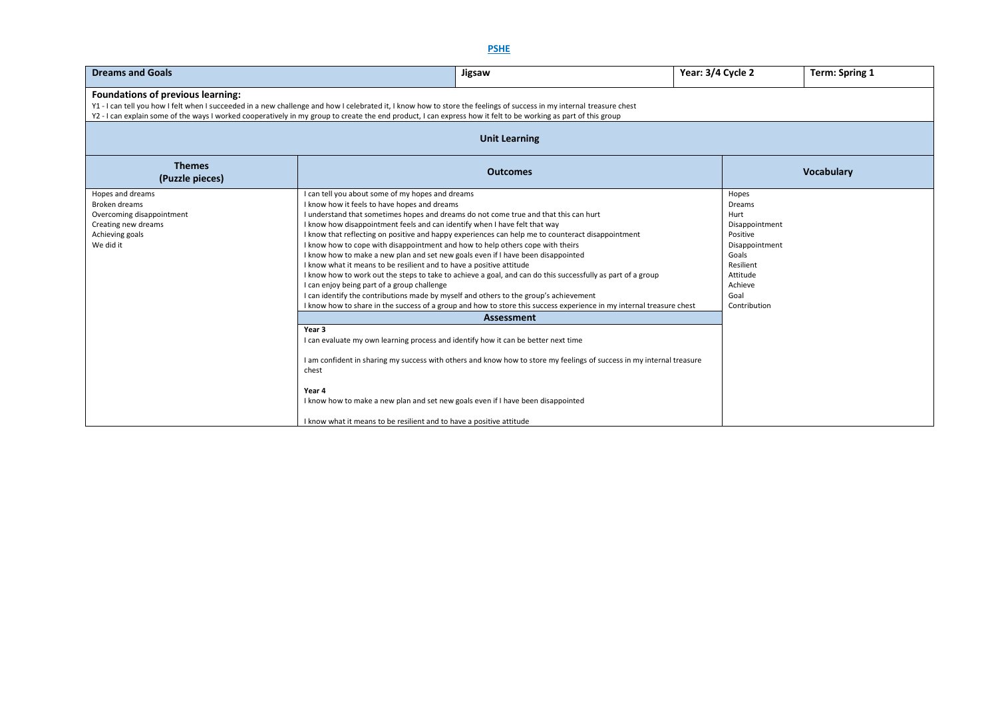| <b>Dreams and Goals</b>                                                                                                                                                                                                                                                                                                                                                              | Year: 3/4 Cycle 2                                                                                                                                                                                                                                                                                                                                                                                                                                                                                                                                                                                                                                            |                                                                                                                                                                                                                                                                                                                                          | <b>Term: Spring 1</b> |                                                                                                                                              |                   |  |  |  |
|--------------------------------------------------------------------------------------------------------------------------------------------------------------------------------------------------------------------------------------------------------------------------------------------------------------------------------------------------------------------------------------|--------------------------------------------------------------------------------------------------------------------------------------------------------------------------------------------------------------------------------------------------------------------------------------------------------------------------------------------------------------------------------------------------------------------------------------------------------------------------------------------------------------------------------------------------------------------------------------------------------------------------------------------------------------|------------------------------------------------------------------------------------------------------------------------------------------------------------------------------------------------------------------------------------------------------------------------------------------------------------------------------------------|-----------------------|----------------------------------------------------------------------------------------------------------------------------------------------|-------------------|--|--|--|
| <b>Foundations of previous learning:</b><br>Y1 - I can tell you how I felt when I succeeded in a new challenge and how I celebrated it, I know how to store the feelings of success in my internal treasure chest<br>Y2 - I can explain some of the ways I worked cooperatively in my group to create the end product, I can express how it felt to be working as part of this group |                                                                                                                                                                                                                                                                                                                                                                                                                                                                                                                                                                                                                                                              |                                                                                                                                                                                                                                                                                                                                          |                       |                                                                                                                                              |                   |  |  |  |
| <b>Unit Learning</b>                                                                                                                                                                                                                                                                                                                                                                 |                                                                                                                                                                                                                                                                                                                                                                                                                                                                                                                                                                                                                                                              |                                                                                                                                                                                                                                                                                                                                          |                       |                                                                                                                                              |                   |  |  |  |
| <b>Themes</b><br>(Puzzle pieces)                                                                                                                                                                                                                                                                                                                                                     |                                                                                                                                                                                                                                                                                                                                                                                                                                                                                                                                                                                                                                                              | <b>Outcomes</b>                                                                                                                                                                                                                                                                                                                          |                       |                                                                                                                                              | <b>Vocabulary</b> |  |  |  |
| Hopes and dreams<br>Broken dreams<br>Overcoming disappointment<br>Creating new dreams<br>Achieving goals<br>We did it                                                                                                                                                                                                                                                                | I can tell you about some of my hopes and dreams<br>I know how it feels to have hopes and dreams<br>I understand that sometimes hopes and dreams do not come true and that this can hurt<br>I know how disappointment feels and can identify when I have felt that way<br>I know how to cope with disappointment and how to help others cope with theirs<br>I know how to make a new plan and set new goals even if I have been disappointed<br>I know what it means to be resilient and to have a positive attitude<br>I can enjoy being part of a group challenge<br>I can identify the contributions made by myself and others to the group's achievement | I know that reflecting on positive and happy experiences can help me to counteract disappointment<br>I know how to work out the steps to take to achieve a goal, and can do this successfully as part of a group<br>I know how to share in the success of a group and how to store this success experience in my internal treasure chest |                       | Hopes<br>Dreams<br>Hurt<br>Disappointment<br>Positive<br>Disappointment<br>Goals<br>Resilient<br>Attitude<br>Achieve<br>Goal<br>Contribution |                   |  |  |  |
|                                                                                                                                                                                                                                                                                                                                                                                      | Year 3<br>I can evaluate my own learning process and identify how it can be better next time<br>chest<br>Year 4<br>I know how to make a new plan and set new goals even if I have been disappointed<br>I know what it means to be resilient and to have a positive attitude                                                                                                                                                                                                                                                                                                                                                                                  | Assessment<br>I am confident in sharing my success with others and know how to store my feelings of success in my internal treasure                                                                                                                                                                                                      |                       |                                                                                                                                              |                   |  |  |  |